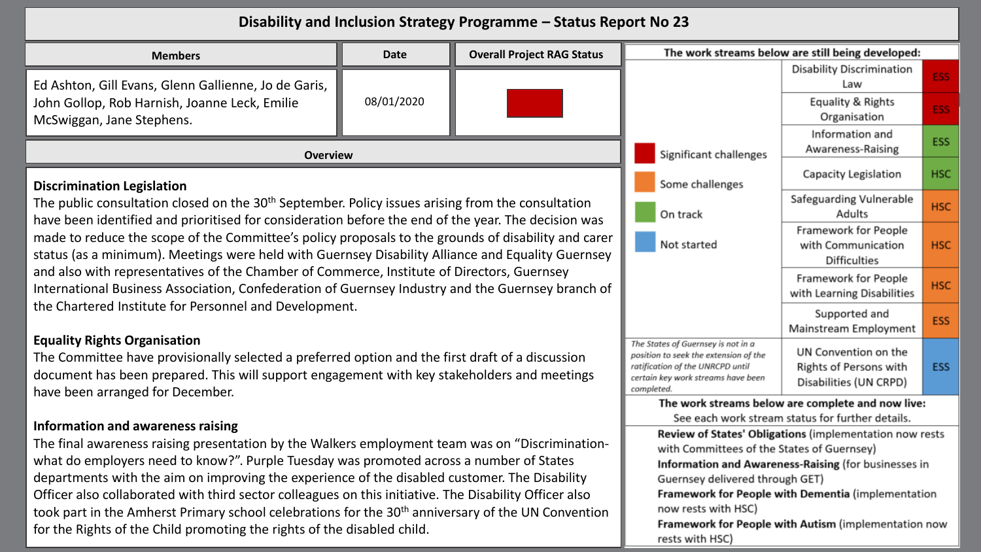| Disability and Inclusion Strategy Programme - Status Report No 23                                                                                                                                                                                                                                                                |                                                                                                                                                                     |                                                                          |                                                                                                       |                                                    |            |  |
|----------------------------------------------------------------------------------------------------------------------------------------------------------------------------------------------------------------------------------------------------------------------------------------------------------------------------------|---------------------------------------------------------------------------------------------------------------------------------------------------------------------|--------------------------------------------------------------------------|-------------------------------------------------------------------------------------------------------|----------------------------------------------------|------------|--|
| <b>Overall Project RAG Status</b><br>Date<br><b>Members</b>                                                                                                                                                                                                                                                                      |                                                                                                                                                                     |                                                                          |                                                                                                       | The work streams below are still being developed:  |            |  |
| Ed Ashton, Gill Evans, Glenn Gallienne, Jo de Garis,                                                                                                                                                                                                                                                                             |                                                                                                                                                                     |                                                                          |                                                                                                       | <b>Disability Discrimination</b><br>Law            | ESS:       |  |
| John Gollop, Rob Harnish, Joanne Leck, Emilie<br>McSwiggan, Jane Stephens.                                                                                                                                                                                                                                                       | 08/01/2020                                                                                                                                                          |                                                                          |                                                                                                       | Equality & Rights<br>Organisation                  | <b>ESS</b> |  |
| <b>Overview</b>                                                                                                                                                                                                                                                                                                                  |                                                                                                                                                                     |                                                                          | Significant challenges                                                                                | Information and<br>Awareness-Raising               | <b>ESS</b> |  |
| <b>Discrimination Legislation</b>                                                                                                                                                                                                                                                                                                |                                                                                                                                                                     |                                                                          | Some challenges                                                                                       | Capacity Legislation                               | <b>HSC</b> |  |
| The public consultation closed on the 30 <sup>th</sup> September. Policy issues arising from the consultation<br>have been identified and prioritised for consideration before the end of the year. The decision was                                                                                                             |                                                                                                                                                                     |                                                                          | On track                                                                                              | Safeguarding Vulnerable<br>Adults                  | <b>HSC</b> |  |
| made to reduce the scope of the Committee's policy proposals to the grounds of disability and carer<br>status (as a minimum). Meetings were held with Guernsey Disability Alliance and Equality Guernsey                                                                                                                         | Not started                                                                                                                                                         | Framework for People<br>with Communication<br><b>Difficulties</b>        | <b>HSC</b>                                                                                            |                                                    |            |  |
| and also with representatives of the Chamber of Commerce, Institute of Directors, Guernsey<br>International Business Association, Confederation of Guernsey Industry and the Guernsey branch of                                                                                                                                  |                                                                                                                                                                     |                                                                          | Framework for People<br>with Learning Disabilities                                                    | <b>HSC</b>                                         |            |  |
| the Chartered Institute for Personnel and Development.                                                                                                                                                                                                                                                                           |                                                                                                                                                                     | Supported and<br>Mainstream Employment                                   | <b>ESS</b>                                                                                            |                                                    |            |  |
| <b>Equality Rights Organisation</b><br>The Committee have provisionally selected a preferred option and the first draft of a discussion<br>document has been prepared. This will support engagement with key stakeholders and meetings<br>have been arranged for December.                                                       | The States of Guernsey is not in a<br>position to seek the extension of the<br>ratification of the UNRCPD until<br>certain key work streams have been<br>completed. | UN Convention on the<br>Rights of Persons with<br>Disabilities (UN CRPD) | <b>ESS</b>                                                                                            |                                                    |            |  |
|                                                                                                                                                                                                                                                                                                                                  |                                                                                                                                                                     |                                                                          | The work streams below are complete and now live:<br>See each work stream status for further details. |                                                    |            |  |
| Information and awareness raising<br>The final awareness raising presentation by the Walkers employment team was on "Discrimination-<br>what do employers need to know?". Purple Tuesday was promoted across a number of States<br>departments with the aim on improving the experience of the disabled customer. The Disability | Review of States' Obligations (implementation now rests<br>with Committees of the States of Guernsey)<br>Information and Awareness-Raising (for businesses in       |                                                                          |                                                                                                       |                                                    |            |  |
| Officer also collaborated with third sector colleagues on this initiative. The Disability Officer also<br>took part in the Amherst Primary school celebrations for the 30 <sup>th</sup> anniversary of the UN Convention                                                                                                         |                                                                                                                                                                     |                                                                          | Guernsey delivered through GET)<br>now rests with HSC)                                                | Framework for People with Dementia (implementation |            |  |
| for the Rights of the Child promoting the rights of the disabled child.                                                                                                                                                                                                                                                          | Framework for People with Autism (implementation now<br>rests with HSC)                                                                                             |                                                                          |                                                                                                       |                                                    |            |  |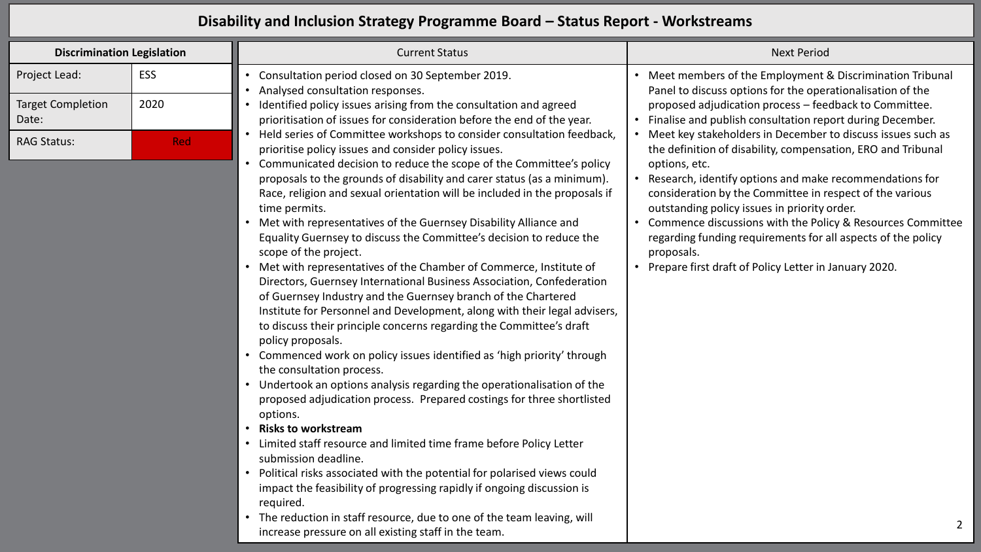## **Disability and Inclusion Strategy Programme Board – Status Report - Workstreams**

| <b>Discrimination Legislation</b> |            | <b>Current Status</b>                                                                                                                                                                                                                                                                                             | <b>Next Period</b>                                                                                                                                                                                                                                                                                |
|-----------------------------------|------------|-------------------------------------------------------------------------------------------------------------------------------------------------------------------------------------------------------------------------------------------------------------------------------------------------------------------|---------------------------------------------------------------------------------------------------------------------------------------------------------------------------------------------------------------------------------------------------------------------------------------------------|
| Project Lead:                     | ESS        | Consultation period closed on 30 September 2019.<br>Analysed consultation responses.                                                                                                                                                                                                                              | Meet members of the Employment & Discrimination Tribunal<br>Panel to discuss options for the operationalisation of the                                                                                                                                                                            |
| <b>Target Completion</b><br>Date: | 2020       | Identified policy issues arising from the consultation and agreed<br>prioritisation of issues for consideration before the end of the year.                                                                                                                                                                       | proposed adjudication process - feedback to Committee.<br>Finalise and publish consultation report during December.                                                                                                                                                                               |
| <b>RAG Status:</b>                | <b>Red</b> | Held series of Committee workshops to consider consultation feedback,<br>prioritise policy issues and consider policy issues.<br>Communicated decision to reduce the scope of the Committee's policy                                                                                                              | Meet key stakeholders in December to discuss issues such as<br>the definition of disability, compensation, ERO and Tribunal<br>options, etc.                                                                                                                                                      |
|                                   |            | proposals to the grounds of disability and carer status (as a minimum).<br>Race, religion and sexual orientation will be included in the proposals if<br>time permits.<br>Met with representatives of the Guernsey Disability Alliance and<br>Equality Guernsey to discuss the Committee's decision to reduce the | Research, identify options and make recommendations for<br>consideration by the Committee in respect of the various<br>outstanding policy issues in priority order.<br>Commence discussions with the Policy & Resources Committee<br>regarding funding requirements for all aspects of the policy |

• Prepare first draft of Policy Letter in January 2020.

proposals.

• **Risks to workstream**

options.

scope of the project.

policy proposals.

the consultation process.

- Limited staff resource and limited time frame before Policy Letter submission deadline.
- Political risks associated with the potential for polarised views could impact the feasibility of progressing rapidly if ongoing discussion is required.

• Met with representatives of the Chamber of Commerce, Institute of Directors, Guernsey International Business Association, Confederation

Institute for Personnel and Development, along with their legal advisers, to discuss their principle concerns regarding the Committee's draft

• Commenced work on policy issues identified as 'high priority' through

• Undertook an options analysis regarding the operationalisation of the proposed adjudication process. Prepared costings for three shortlisted

of Guernsey Industry and the Guernsey branch of the Chartered

The reduction in staff resource, due to one of the team leaving, will increase pressure on all existing staff in the team.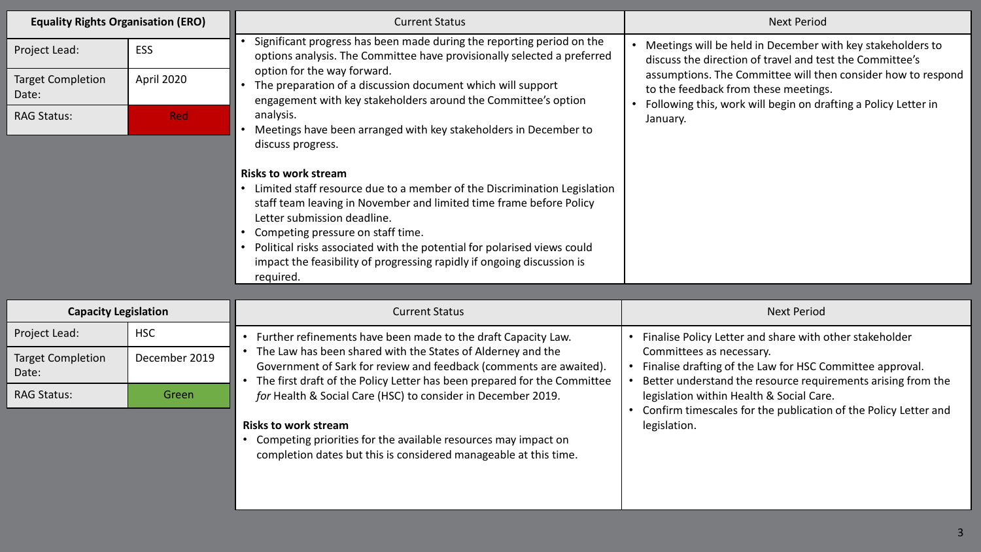| <b>Equality Rights Organisation (ERO)</b> |            | <b>Current Status</b>                                                                                                                                                                                                                                                                                                                                                                                                  | <b>Next Period</b>                                                                                                                                                                                                                                                                                           |
|-------------------------------------------|------------|------------------------------------------------------------------------------------------------------------------------------------------------------------------------------------------------------------------------------------------------------------------------------------------------------------------------------------------------------------------------------------------------------------------------|--------------------------------------------------------------------------------------------------------------------------------------------------------------------------------------------------------------------------------------------------------------------------------------------------------------|
| Project Lead:                             | <b>ESS</b> | Significant progress has been made during the reporting period on the<br>options analysis. The Committee have provisionally selected a preferred<br>option for the way forward.<br>The preparation of a discussion document which will support<br>engagement with key stakeholders around the Committee's option<br>analysis.<br>Meetings have been arranged with key stakeholders in December to<br>discuss progress. | Meetings will be held in December with key stakeholders to<br>discuss the direction of travel and test the Committee's<br>assumptions. The Committee will then consider how to respond<br>to the feedback from these meetings.<br>Following this, work will begin on drafting a Policy Letter in<br>January. |
| <b>Target Completion</b><br>Date:         | April 2020 |                                                                                                                                                                                                                                                                                                                                                                                                                        |                                                                                                                                                                                                                                                                                                              |
| <b>RAG Status:</b>                        | <b>Red</b> |                                                                                                                                                                                                                                                                                                                                                                                                                        |                                                                                                                                                                                                                                                                                                              |
|                                           |            | <b>Risks to work stream</b><br>Limited staff resource due to a member of the Discrimination Legislation<br>staff team leaving in November and limited time frame before Policy<br>Letter submission deadline.<br>Competing pressure on staff time.<br>Political risks associated with the potential for polarised views could<br>impact the feasibility of progressing rapidly if ongoing discussion is<br>required.   |                                                                                                                                                                                                                                                                                                              |

| <b>Capacity Legislation</b>       |               | <b>Current Status</b>                                                                                                                                                                                         | <b>Next Period</b>                                                                                                                                   |
|-----------------------------------|---------------|---------------------------------------------------------------------------------------------------------------------------------------------------------------------------------------------------------------|------------------------------------------------------------------------------------------------------------------------------------------------------|
| Project Lead:                     | <b>HSC</b>    | Further refinements have been made to the draft Capacity Law.                                                                                                                                                 | Finalise Policy Letter and share with other stakeholder                                                                                              |
| <b>Target Completion</b><br>Date: | December 2019 | The Law has been shared with the States of Alderney and the<br>Government of Sark for review and feedback (comments are awaited).<br>The first draft of the Policy Letter has been prepared for the Committee | Committees as necessary.<br>Finalise drafting of the Law for HSC Committee approval.<br>Better understand the resource requirements arising from the |
| <b>RAG Status:</b>                | Green :       | for Health & Social Care (HSC) to consider in December 2019.                                                                                                                                                  | legislation within Health & Social Care.<br>Confirm timescales for the publication of the Policy Letter and                                          |
|                                   |               | <b>Risks to work stream</b><br>Competing priorities for the available resources may impact on                                                                                                                 | legislation.                                                                                                                                         |

completion dates but this is considered manageable at this time.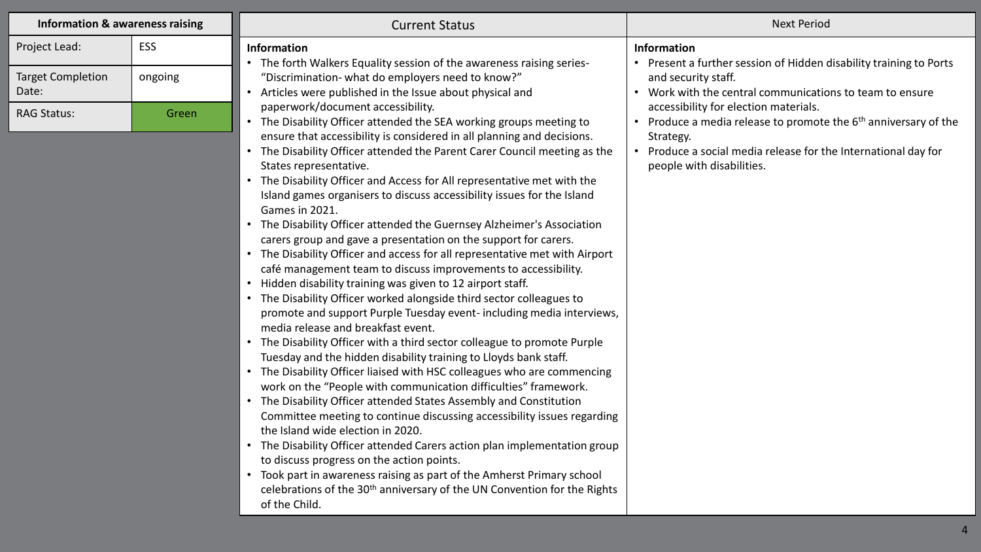| <b>Information &amp; awareness raising</b> |         | <b>Current Status</b>                                                                                                                                                                                                                                                                                                                                                                                                                                                                                                                                                                                                                                                                                                                                                                                                                                                                                                                                                                                                                                                                                                                                                                                                                                                                                                                                                                                                                                              |  |
|--------------------------------------------|---------|--------------------------------------------------------------------------------------------------------------------------------------------------------------------------------------------------------------------------------------------------------------------------------------------------------------------------------------------------------------------------------------------------------------------------------------------------------------------------------------------------------------------------------------------------------------------------------------------------------------------------------------------------------------------------------------------------------------------------------------------------------------------------------------------------------------------------------------------------------------------------------------------------------------------------------------------------------------------------------------------------------------------------------------------------------------------------------------------------------------------------------------------------------------------------------------------------------------------------------------------------------------------------------------------------------------------------------------------------------------------------------------------------------------------------------------------------------------------|--|
| Project Lead:                              | ESS     | <b>Information</b><br>• The forth Walkers Equality session of the awareness raising series-                                                                                                                                                                                                                                                                                                                                                                                                                                                                                                                                                                                                                                                                                                                                                                                                                                                                                                                                                                                                                                                                                                                                                                                                                                                                                                                                                                        |  |
| <b>Target Completion</b><br>Date:          | ongoing | "Discrimination- what do employers need to know?"<br>Articles were published in the Issue about physical and                                                                                                                                                                                                                                                                                                                                                                                                                                                                                                                                                                                                                                                                                                                                                                                                                                                                                                                                                                                                                                                                                                                                                                                                                                                                                                                                                       |  |
| <b>RAG Status:</b>                         | Green   | paperwork/document accessibility.<br>• The Disability Officer attended the SEA working groups meeting to<br>ensure that accessibility is considered in all planning and decisions.<br>• The Disability Officer attended the Parent Carer Council meeting as the<br>States representative.<br>• The Disability Officer and Access for All representative met with the<br>Island games organisers to discuss accessibility issues for the Island<br>Games in 2021.<br>• The Disability Officer attended the Guernsey Alzheimer's Association<br>carers group and gave a presentation on the support for carers.<br>• The Disability Officer and access for all representative met with Airport<br>café management team to discuss improvements to accessibility.<br>• Hidden disability training was given to 12 airport staff.<br>• The Disability Officer worked alongside third sector colleagues to<br>promote and support Purple Tuesday event-including media interviews,<br>media release and breakfast event.<br>• The Disability Officer with a third sector colleague to promote Purple<br>Tuesday and the hidden disability training to Lloyds bank staff.<br>• The Disability Officer liaised with HSC colleagues who are commencing<br>work on the "People with communication difficulties" framework.<br>• The Disability Officer attended States Assembly and Constitution<br>Committee meeting to continue discussing accessibility issues regarding |  |
|                                            |         | the Island wide election in 2020.<br>• The Disability Officer attended Carers action plan implementation group<br>to discuss progress on the action points.<br>Took part in awareness raising as part of the Amherst Primary school<br>$\bullet$<br>celebrations of the 30 <sup>th</sup> anniversary of the UN Convention for the Rights<br>of the Child.                                                                                                                                                                                                                                                                                                                                                                                                                                                                                                                                                                                                                                                                                                                                                                                                                                                                                                                                                                                                                                                                                                          |  |

|     | <b>Next Period</b>                                                                                                                                                                                                                                                                                                                                                                                      |
|-----|---------------------------------------------------------------------------------------------------------------------------------------------------------------------------------------------------------------------------------------------------------------------------------------------------------------------------------------------------------------------------------------------------------|
| he  | <b>Information</b><br>Present a further session of Hidden disability training to Ports<br>and security staff.<br>Work with the central communications to team to ensure<br>accessibility for election materials.<br>Produce a media release to promote the 6 <sup>th</sup> anniversary of the<br>Strategy.<br>Produce a social media release for the International day for<br>people with disabilities. |
|     |                                                                                                                                                                                                                                                                                                                                                                                                         |
| ort |                                                                                                                                                                                                                                                                                                                                                                                                         |
|     |                                                                                                                                                                                                                                                                                                                                                                                                         |
| ws, |                                                                                                                                                                                                                                                                                                                                                                                                         |
| ∍   |                                                                                                                                                                                                                                                                                                                                                                                                         |
| ng  |                                                                                                                                                                                                                                                                                                                                                                                                         |
|     |                                                                                                                                                                                                                                                                                                                                                                                                         |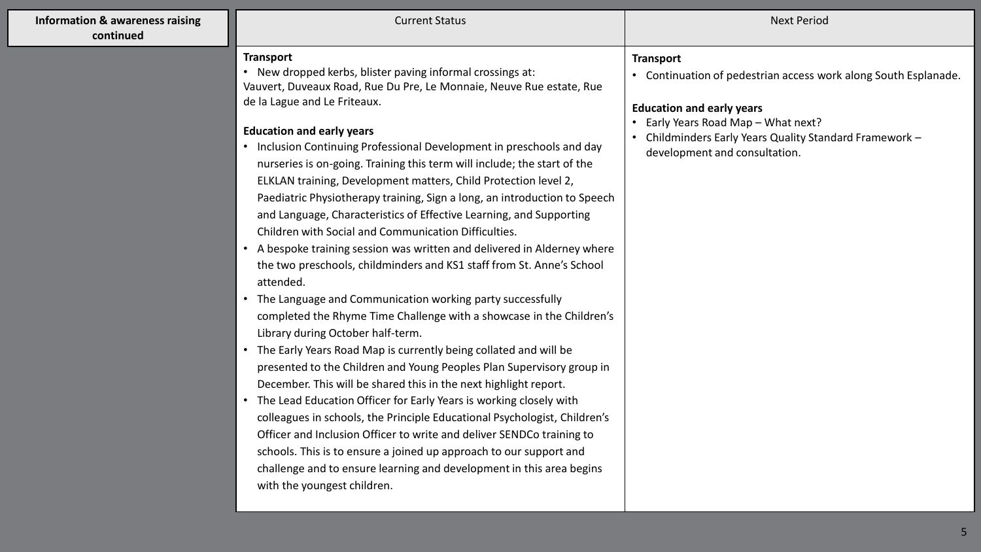| <b>Information &amp; awareness raising</b><br>continued | <b>Current Status</b>                                                                                                                                                                                                                                                                                                                                                                                                                                                                                                                                                                                                                                                                                                                                                                                                                                                                                                                                                                                                                                                                                                                                                                                                                                                                                                                                                                                                                                                                                                                                                                                                                      | <b>Next Period</b>                                                                                                                                                                                                                                     |
|---------------------------------------------------------|--------------------------------------------------------------------------------------------------------------------------------------------------------------------------------------------------------------------------------------------------------------------------------------------------------------------------------------------------------------------------------------------------------------------------------------------------------------------------------------------------------------------------------------------------------------------------------------------------------------------------------------------------------------------------------------------------------------------------------------------------------------------------------------------------------------------------------------------------------------------------------------------------------------------------------------------------------------------------------------------------------------------------------------------------------------------------------------------------------------------------------------------------------------------------------------------------------------------------------------------------------------------------------------------------------------------------------------------------------------------------------------------------------------------------------------------------------------------------------------------------------------------------------------------------------------------------------------------------------------------------------------------|--------------------------------------------------------------------------------------------------------------------------------------------------------------------------------------------------------------------------------------------------------|
|                                                         | <b>Transport</b><br>• New dropped kerbs, blister paving informal crossings at:<br>Vauvert, Duveaux Road, Rue Du Pre, Le Monnaie, Neuve Rue estate, Rue<br>de la Lague and Le Friteaux.<br><b>Education and early years</b><br>• Inclusion Continuing Professional Development in preschools and day<br>nurseries is on-going. Training this term will include; the start of the<br>ELKLAN training, Development matters, Child Protection level 2,<br>Paediatric Physiotherapy training, Sign a long, an introduction to Speech<br>and Language, Characteristics of Effective Learning, and Supporting<br>Children with Social and Communication Difficulties.<br>• A bespoke training session was written and delivered in Alderney where<br>the two preschools, childminders and KS1 staff from St. Anne's School<br>attended.<br>• The Language and Communication working party successfully<br>completed the Rhyme Time Challenge with a showcase in the Children's<br>Library during October half-term.<br>• The Early Years Road Map is currently being collated and will be<br>presented to the Children and Young Peoples Plan Supervisory group in<br>December. This will be shared this in the next highlight report.<br>• The Lead Education Officer for Early Years is working closely with<br>colleagues in schools, the Principle Educational Psychologist, Children's<br>Officer and Inclusion Officer to write and deliver SENDCo training to<br>schools. This is to ensure a joined up approach to our support and<br>challenge and to ensure learning and development in this area begins<br>with the youngest children. | <b>Transport</b><br>• Continuation of pedestrian access work along South Esplanade.<br><b>Education and early years</b><br>Early Years Road Map - What next?<br>Childminders Early Years Quality Standard Framework -<br>development and consultation. |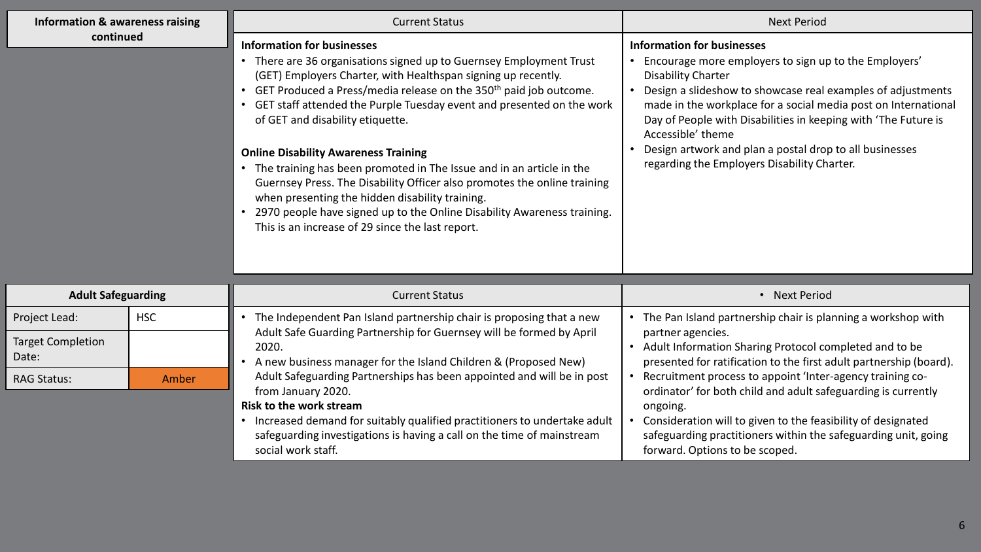| Information & awareness raising   |            | <b>Current Status</b>                                                                                                                                                                                                                                                                                                                                                                                                                                                                                                                                                                                                                                                                                                                                                   | <b>Next Period</b>                                                                                                                                                                                                                                                                                                                                                                                                                                 |
|-----------------------------------|------------|-------------------------------------------------------------------------------------------------------------------------------------------------------------------------------------------------------------------------------------------------------------------------------------------------------------------------------------------------------------------------------------------------------------------------------------------------------------------------------------------------------------------------------------------------------------------------------------------------------------------------------------------------------------------------------------------------------------------------------------------------------------------------|----------------------------------------------------------------------------------------------------------------------------------------------------------------------------------------------------------------------------------------------------------------------------------------------------------------------------------------------------------------------------------------------------------------------------------------------------|
| continued                         |            | <b>Information for businesses</b><br>There are 36 organisations signed up to Guernsey Employment Trust<br>(GET) Employers Charter, with Healthspan signing up recently.<br>GET Produced a Press/media release on the 350 <sup>th</sup> paid job outcome.<br>GET staff attended the Purple Tuesday event and presented on the work<br>of GET and disability etiquette.<br><b>Online Disability Awareness Training</b><br>The training has been promoted in The Issue and in an article in the<br>$\bullet$<br>Guernsey Press. The Disability Officer also promotes the online training<br>when presenting the hidden disability training.<br>2970 people have signed up to the Online Disability Awareness training.<br>This is an increase of 29 since the last report. | <b>Information for businesses</b><br>Encourage more employers to sign up to the Employers'<br>Disability Charter<br>Design a slideshow to showcase real examples of adjustments<br>made in the workplace for a social media post on International<br>Day of People with Disabilities in keeping with 'The Future is<br>Accessible' theme<br>Design artwork and plan a postal drop to all businesses<br>regarding the Employers Disability Charter. |
| <b>Adult Safeguarding</b>         |            | <b>Current Status</b>                                                                                                                                                                                                                                                                                                                                                                                                                                                                                                                                                                                                                                                                                                                                                   | • Next Period                                                                                                                                                                                                                                                                                                                                                                                                                                      |
| Project Lead:                     | <b>HSC</b> | The Independent Pan Island partnership chair is proposing that a new                                                                                                                                                                                                                                                                                                                                                                                                                                                                                                                                                                                                                                                                                                    | The Pan Island partnership chair is planning a workshop with<br>$\bullet$                                                                                                                                                                                                                                                                                                                                                                          |
| <b>Target Completion</b><br>Date: |            | Adult Safe Guarding Partnership for Guernsey will be formed by April<br>2020.<br>A new husiness manager for the Island Children & (Proposed New)                                                                                                                                                                                                                                                                                                                                                                                                                                                                                                                                                                                                                        | partner agencies.<br>Adult Information Sharing Protocol completed and to be<br>orresponded for ratification to the first adult partnership (hoard)                                                                                                                                                                                                                                                                                                 |

| <b>AUUIL JAICKUALUIIK</b>         |            | Current Status                                                                                                                                                           | <b>INCAL FEITUU</b>                                                                                                                                              |
|-----------------------------------|------------|--------------------------------------------------------------------------------------------------------------------------------------------------------------------------|------------------------------------------------------------------------------------------------------------------------------------------------------------------|
| Project Lead:                     | <b>HSC</b> | The Independent Pan Island partnership chair is proposing that a new                                                                                                     | The Pan Island partnership chair is planning a workshop with                                                                                                     |
| <b>Target Completion</b><br>Date: |            | Adult Safe Guarding Partnership for Guernsey will be formed by April<br>2020.<br>A new business manager for the Island Children & (Proposed New)                         | partner agencies.<br>Adult Information Sharing Protocol completed and to be<br>presented for ratification to the first adult partnership (board).                |
| <b>RAG Status:</b>                | Amber      | Adult Safeguarding Partnerships has been appointed and will be in post<br>from January 2020.<br><b>Risk to the work stream</b>                                           | Recruitment process to appoint 'Inter-agency training co-<br>ordinator' for both child and adult safeguarding is currently<br>ongoing.                           |
|                                   |            | Increased demand for suitably qualified practitioners to undertake adult<br>safeguarding investigations is having a call on the time of mainstream<br>social work staff. | Consideration will to given to the feasibility of designated<br>safeguarding practitioners within the safeguarding unit, going<br>forward. Options to be scoped. |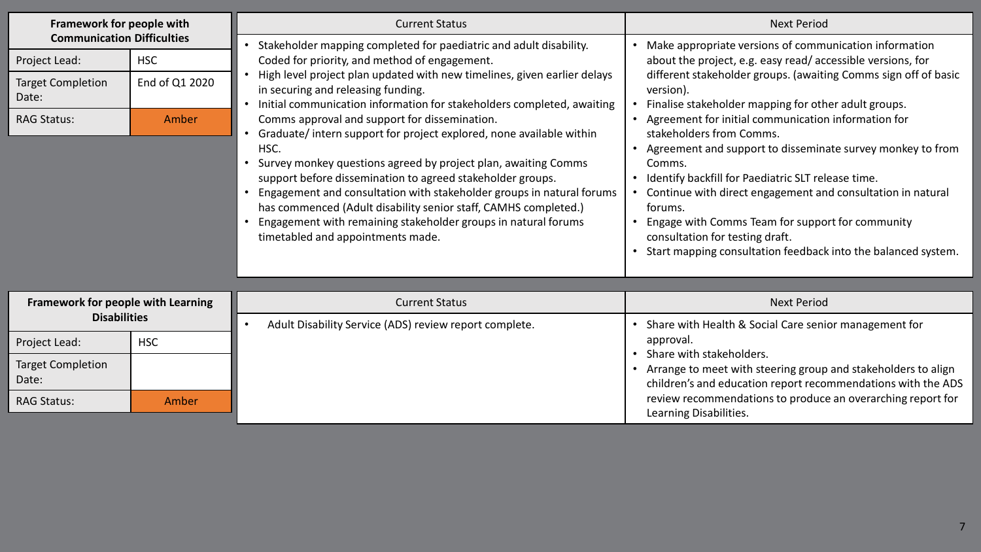| Framework for people with<br><b>Communication Difficulties</b><br>Project Lead:<br><b>HSC</b> |                | <b>Current Status</b>                                                                                                                                                                                                                                                                                                                                                                                                                                                                                           | <b>Next Period</b>                                                                                                                                                                                                                                                                                                                                                                                                                                                                                                         |
|-----------------------------------------------------------------------------------------------|----------------|-----------------------------------------------------------------------------------------------------------------------------------------------------------------------------------------------------------------------------------------------------------------------------------------------------------------------------------------------------------------------------------------------------------------------------------------------------------------------------------------------------------------|----------------------------------------------------------------------------------------------------------------------------------------------------------------------------------------------------------------------------------------------------------------------------------------------------------------------------------------------------------------------------------------------------------------------------------------------------------------------------------------------------------------------------|
|                                                                                               |                | Stakeholder mapping completed for paediatric and adult disability.<br>Coded for priority, and method of engagement.                                                                                                                                                                                                                                                                                                                                                                                             | Make appropriate versions of communication information<br>about the project, e.g. easy read/accessible versions, for                                                                                                                                                                                                                                                                                                                                                                                                       |
| <b>Target Completion</b><br>Date:                                                             | End of Q1 2020 | High level project plan updated with new timelines, given earlier delays<br>in securing and releasing funding.<br>Initial communication information for stakeholders completed, awaiting                                                                                                                                                                                                                                                                                                                        | different stakeholder groups. (awaiting Comms sign off of basic<br>version).<br>Finalise stakeholder mapping for other adult groups.<br>• Agreement for initial communication information for<br>stakeholders from Comms.<br>Agreement and support to disseminate survey monkey to from<br>Comms.<br>• Identify backfill for Paediatric SLT release time.<br>Continue with direct engagement and consultation in natural<br>forums.<br>Engage with Comms Team for support for community<br>consultation for testing draft. |
| <b>RAG Status:</b>                                                                            | Amber          | Comms approval and support for dissemination.<br>Graduate/intern support for project explored, none available within<br>HSC.<br>Survey monkey questions agreed by project plan, awaiting Comms<br>support before dissemination to agreed stakeholder groups.<br>Engagement and consultation with stakeholder groups in natural forums<br>has commenced (Adult disability senior staff, CAMHS completed.)<br>Engagement with remaining stakeholder groups in natural forums<br>timetabled and appointments made. |                                                                                                                                                                                                                                                                                                                                                                                                                                                                                                                            |
|                                                                                               |                |                                                                                                                                                                                                                                                                                                                                                                                                                                                                                                                 | Start mapping consultation feedback into the balanced system.<br>$\bullet$                                                                                                                                                                                                                                                                                                                                                                                                                                                 |
|                                                                                               |                |                                                                                                                                                                                                                                                                                                                                                                                                                                                                                                                 |                                                                                                                                                                                                                                                                                                                                                                                                                                                                                                                            |
| Framework for people with Learning<br><b>Disabilities</b>                                     |                | <b>Current Status</b>                                                                                                                                                                                                                                                                                                                                                                                                                                                                                           | <b>Next Period</b>                                                                                                                                                                                                                                                                                                                                                                                                                                                                                                         |
| Project Lead:                                                                                 | <b>HSC</b>     | Adult Disability Service (ADS) review report complete.                                                                                                                                                                                                                                                                                                                                                                                                                                                          | Share with Health & Social Care senior management for<br>approval.                                                                                                                                                                                                                                                                                                                                                                                                                                                         |
| <b>Target Completion</b><br>Date:                                                             |                |                                                                                                                                                                                                                                                                                                                                                                                                                                                                                                                 | Share with stakeholders.<br>Arrange to meet with steering group and stakeholders to align<br>children's and education report recommendations with the ADS                                                                                                                                                                                                                                                                                                                                                                  |
| <b>RAG Status:</b>                                                                            | Amber          |                                                                                                                                                                                                                                                                                                                                                                                                                                                                                                                 | review recommendations to produce an overarching report for<br>Learning Disabilities.                                                                                                                                                                                                                                                                                                                                                                                                                                      |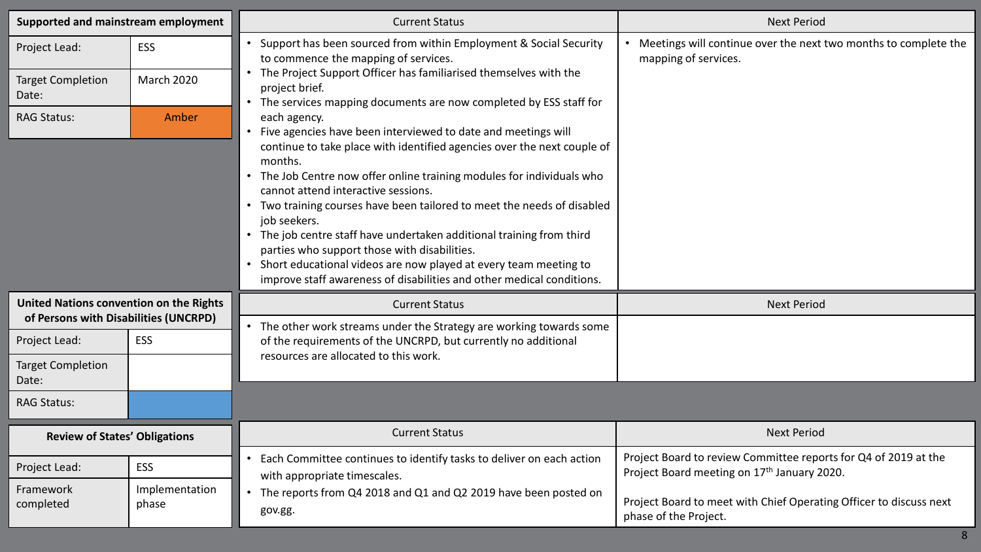| Supported and mainstream employment                                              |                         | <b>Current Status</b>                                                                                                                                                                                                                                                                                                                                                                                                                                                                                                                                                                                                                                                                                                    | <b>Next Period</b>                                                                                             |
|----------------------------------------------------------------------------------|-------------------------|--------------------------------------------------------------------------------------------------------------------------------------------------------------------------------------------------------------------------------------------------------------------------------------------------------------------------------------------------------------------------------------------------------------------------------------------------------------------------------------------------------------------------------------------------------------------------------------------------------------------------------------------------------------------------------------------------------------------------|----------------------------------------------------------------------------------------------------------------|
| Project Lead:                                                                    | <b>ESS</b>              | • Support has been sourced from within Employment & Social Security<br>to commence the mapping of services.<br>mapping of services.                                                                                                                                                                                                                                                                                                                                                                                                                                                                                                                                                                                      | • Meetings will continue over the next two months to complete the                                              |
| <b>Target Completion</b><br>Date:                                                | <b>March 2020</b>       | The Project Support Officer has familiarised themselves with the<br>project brief.                                                                                                                                                                                                                                                                                                                                                                                                                                                                                                                                                                                                                                       |                                                                                                                |
| <b>RAG Status:</b>                                                               | Amber                   | The services mapping documents are now completed by ESS staff for<br>each agency.<br>Five agencies have been interviewed to date and meetings will<br>continue to take place with identified agencies over the next couple of<br>months.<br>• The Job Centre now offer online training modules for individuals who<br>cannot attend interactive sessions.<br>• Two training courses have been tailored to meet the needs of disabled<br>job seekers.<br>The job centre staff have undertaken additional training from third<br>parties who support those with disabilities.<br>Short educational videos are now played at every team meeting to<br>improve staff awareness of disabilities and other medical conditions. |                                                                                                                |
| United Nations convention on the Rights<br>of Persons with Disabilities (UNCRPD) |                         | <b>Current Status</b>                                                                                                                                                                                                                                                                                                                                                                                                                                                                                                                                                                                                                                                                                                    | <b>Next Period</b>                                                                                             |
| Project Lead:                                                                    | <b>ESS</b>              | The other work streams under the Strategy are working towards some<br>of the requirements of the UNCRPD, but currently no additional                                                                                                                                                                                                                                                                                                                                                                                                                                                                                                                                                                                     |                                                                                                                |
| <b>Target Completion</b><br>Date:                                                |                         | resources are allocated to this work.                                                                                                                                                                                                                                                                                                                                                                                                                                                                                                                                                                                                                                                                                    |                                                                                                                |
| <b>RAG Status:</b>                                                               |                         |                                                                                                                                                                                                                                                                                                                                                                                                                                                                                                                                                                                                                                                                                                                          |                                                                                                                |
| <b>Review of States' Obligations</b>                                             |                         | <b>Current Status</b>                                                                                                                                                                                                                                                                                                                                                                                                                                                                                                                                                                                                                                                                                                    | <b>Next Period</b>                                                                                             |
| Project Lead:                                                                    | <b>ESS</b>              | Each Committee continues to identify tasks to deliver on each action<br>with appropriate timescales.                                                                                                                                                                                                                                                                                                                                                                                                                                                                                                                                                                                                                     | Project Board to review Committee reports for Q4 of 2019 at the<br>Project Board meeting on 17th January 2020. |
| Framework<br>completed                                                           | Implementation<br>phase | The reports from Q4 2018 and Q1 and Q2 2019 have been posted on<br>$\bullet$<br>gov.gg.                                                                                                                                                                                                                                                                                                                                                                                                                                                                                                                                                                                                                                  | Project Board to meet with Chief Operating Officer to discuss next<br>phase of the Project.                    |